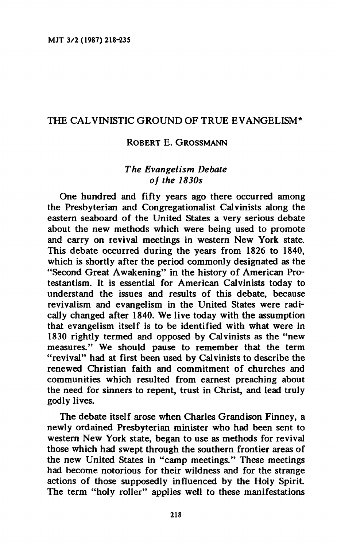### **THE CALVINISTIC GROUND OF TRUE EVANGELISM\***

### **ROBERT E. GROSSMANN**

# *The Evangelism Debate of the 1830s*

**One hundred and fifty years ago there occurred among the Presbyterian and Congregationalist Calviniste along the eastern seaboard of the United States a very serious debate about the new methods which were being used to promote and carry on revival meetings in western New York state. This debate occurred during the years from 1826 to 1840, which is shortly after the period commonly designated as the "Second Great Awakening" in the history of American Protestantism. It is essential for American Calvinists today to understand the issues and results of this debate, because revivalism and evangelism in the United States were radically changed after 1840. We live today with the assumption that evangelism itself is to be identified with what were in 1830 rightly termed and opposed by Calvinists as the "new measures." We should pause to remember that the term "revival" had at first been used by Calvinists to describe the renewed Christian faith and commitment of churches and communities which resulted from earnest preaching about the need for sinners to repent, trust in Christ, and lead truly godly lives.** 

**The debate itself arose when Charles Grandison Finney, a newly ordained Presbyterian minister who had been sent to western New York state, began to use as methods for revival those which had swept through the southern frontier areas of the new United States in "camp meetings." These meetings had become notorious for their wildness and for the strange actions of those supposedly influenced by the Holy Spirit. The term "holy roller" applies well to these manifestations**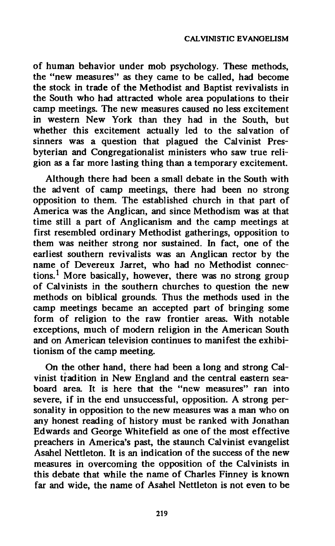**of human behavior under mob psychology. These methods, the "new measures" as they came to be called, had become the stock in trade of the Methodist and Baptist revivalists in the South who had attracted whole area populations to their camp meetings. The new measures caused no less excitement in western New York than they had in the South, but whether this excitement actually led to the salvation of sinners was a question that plagued the Calvinist Presbyterian and Congregationalist ministers who saw true religion as a far more lasting thing than a temporary excitement.** 

**Although there had been a small debate in the South with the advent of camp meetings, there had been no strong opposition to them. The established church in that part of America was the Anglican, and since Methodism was at that time still a part of Anglicanism and the camp meetings at first resembled ordinary Methodist gatherings, opposition to them was neither strong nor sustained. In fact, one of the earliest southern revivalists was an Anglican rector by the name of Devereux Jarret, who had no Methodist connections.<sup>1</sup> More basically, however, there was no strong group of Calvinists in the southern churches to question the new methods on biblical grounds. Thus the methods used in the camp meetings became an accepted part of bringing some form of religion to the raw frontier areas. With notable exceptions, much of modern religion in the American South and on American television continues to manifest the exhibitionism of the camp meeting.** 

**On the other hand, there had been a long and strong Calvinist tradition in New England and the central eastern seaboard area It is here that the "new measures" ran into severe, if in the end unsuccessful, opposition. A strong personality in opposition to the new measures was a man who on any honest reading of history must be ranked with Jonathan Edwards and George Whitefield as one of the most effective preachers in America's past, the staunch Calvinist evangelist Asahel Nettleton. It is an indication of the success of the new measures in overcoming the opposition of the Calvinists in this debate that while the name of Charles Finney is known far and wide, the name of Asahel Nettleton is not even to be**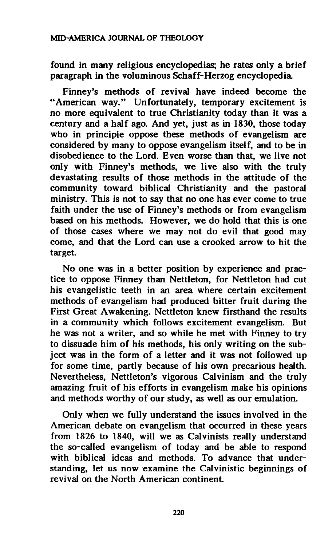**found in many religious encyclopedias; he rates only a brief paragraph in the voluminous Schaff-Herzog encyclopedia.** 

**Finney's methods of revival have indeed become the "American way." Unfortunately, temporary excitement is no more equivalent to true Christianity today than it was a century and a half ago. And yet, just as in 1830, those today who in principle oppose these methods of evangelism are considered by many to oppose evangelism itself, and to be in disobedience to the Lord. Even worse than that, we live not only with Finney's methods, we live also with the truly devastating results of those methods in the attitude of the community toward biblical Christianity and the pastoral ministry. This is not to say that no one has ever come to true faith under the use of Finney's methods or from evangelism based on his methods. However, we do hold that this is one of those cases where we may not do evil that good may come, and that the Lord can use a crooked arrow to hit the target.** 

**No one was in a better position by experience and practice to oppose Finney than Nettleton, for Nettleton had cut his evangelistic teeth in an area where certain excitement methods of evangelism had produced bitter fruit during the First Great Awakening. Nettleton knew firsthand the results in a community which follows excitement evangelism. But he was not a writer, and so while he met with Finney to try to dissuade him of his methods, his only writing on the subject was in the form of a letter and it was not followed up for some time, partly because of his own precarious health. Nevertheless, Nettleton's vigorous Calvinism and the truly amazing fruit of his efforts in evangelism make his opinions and methods worthy of our study, as well as our emulation.** 

**Only when we fully understand the issues involved in the American debate on evangelism that occurred in these years from 1826 to 1840, will we as Calvinists really understand the so-called evangelism of today and be able to respond with biblical ideas and methods. To advance that understanding, let us now examine the Calvinistic beginnings of revival on the North American continent.**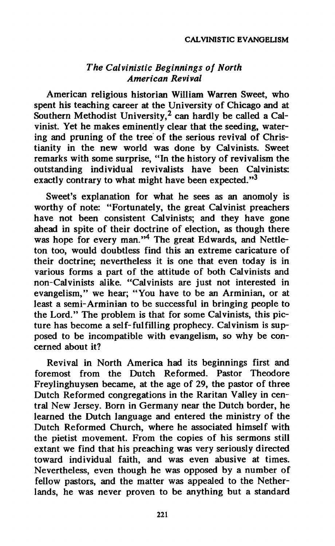# *The Calvinistic Beginnings of North American Revival*

**American religious historian William Warren Sweet, who spent his teaching career at the University of Chicago and at Southern Methodist University,<sup>2</sup> can hardly be called a Calvinist. Yet he makes eminently clear that the seeding, watering and pruning of the tree of the serious revival of Christianity in the new world was done by Calvinists. Sweet remarks with some surprise, "In the history of revivalism the outstanding individual revivalists have been Calvinists: exactly contrary to what might have been expected."<sup>3</sup>**

**Sweet's explanation for what he sees as an anomoly is worthy of note: "Fortunately, the great Calvinist preachers have not been consistent Calvinists; and they have gone ahead in spite of their doctrine of election, as though there was hope for every man."<sup>4</sup> The great Edwards, and Nettleton too, would doubtless find this an extreme caricature of their doctrine; nevertheless it is one that even today is in various forms a part of the attitude of both Calvinists and non-Calvinists alike. "Calvinists are just not interested in evangelism," we hear; "You have to be an Arminian, or at least a semi-Arminian to be successful in bringing people to the Lord." The problem is that for some Calvinists, this picture has become a self-fulfilling prophecy. Calvinism is supposed to be incompatible with evangelism, so why be concerned about it?** 

**Revival in North America had its beginnings first and foremost from the Dutch Reformed. Pastor Theodore Freylinghuysen became, at the age of 29, the pastor of three Dutch Reformed congregations in the Raritan Valley in central New Jersey. Born in Germany near the Dutch border, he learned the Dutch language and entered the ministry of the Dutch Reformed Church, where he associated himself with the pietist movement. From the copies of his sermons still extant we find that his preaching was very seriously directed toward individual faith, and was even abusive at times. Nevertheless, even though he was opposed by a number of fellow pastors, and the matter was appealed to the Netherlands, he was never proven to be anything but a standard**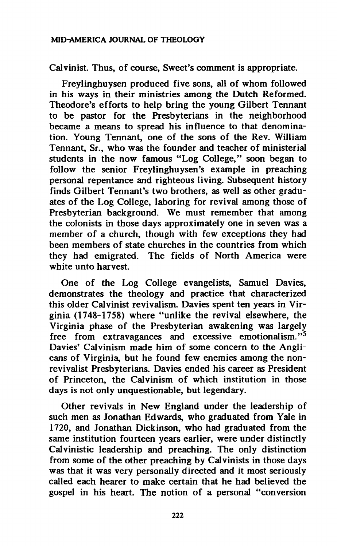**Calvinist. Thus, of course, Sweet's comment is appropriate.** 

**Freylinghuysen produced five sons, all of whom followed in his ways in their ministries among the Dutch Reformed. Theodore's efforts to help bring the young Gilbert Tennant to be pastor for the Presbyterians in the neighborhood became a means to spread his influence to that denomination. Young Tennant, one of the sons of the Rev. William Tennant, Sr., who was the founder and teacher of ministerial students in the now famous "Log College," soon began to follow the senior Freylinghuysen's example in preaching personal repentance and righteous living. Subsequent history finds Gilbert Tennant's two brothers, as well as other graduates of the Log College, laboring for revival among those of Presbyterian background. We must remember that among the colonists in those days approximately one in seven was a member of a church, though with few exceptions they had been members of state churches in the countries from which they had emigrated. The fields of North America were white unto harvest.** 

**One of the Log College evangelists, Samuel Davies, demonstrates the theology and practice that characterized this older Calvinist revivalism. Davies spent ten years in Virginia (1748-1758) where "unlike the revival elsewhere, the Virginia phase of the Presbyterian awakening was largely free from extravagances and excessive emotionalism."<sup>5</sup> Davies' Calvinism made him of some concern to the Anglicans of Virginia, but he found few enemies among the nonrevivalist Presbyterians. Davies ended his career as President of Princeton, the Calvinism of which institution in those days is not only unquestionable, but legendary.** 

**Other revivals in New England under the leadership of such men as Jonathan Edwards, who graduated from Yale in 1720, and Jonathan Dickinson, who had graduated from the same institution fourteen years earlier, were under distinctly Calvinistic leadership and preaching. The only distinction from some of the other preaching by Calvinists in those days was that it was very personally directed and it most seriously called each hearer to make certain that he had believed the gospel in his heart. The notion of a personal "conversion**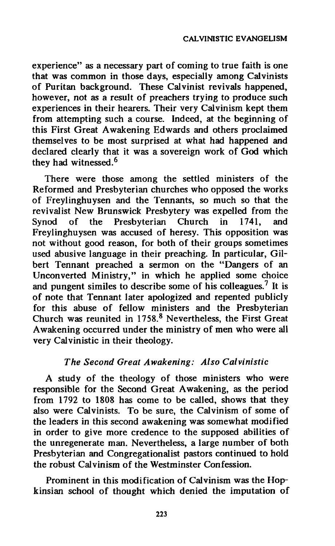**experience" as a necessary part of coming to true faith is one that was common in those days, especially among Calvinists of Puritan background. These Calvinist revivals happened, however, not as a result of preachers trying to produce such experiences in their hearers. Their very Calvinism kept them from attempting such a course. Indeed, at the beginning of this First Great Awakening Edwards and others proclaimed themselves to be most surprised at what had happened and declared clearly that it was a sovereign work of God which they had witnessed.<sup>6</sup>**

**There were those among the settled ministers of the Reformed and Presbyterian churches who opposed the works of Freylinghuysen and the Tennants, so much so that the revivalist New Brunswick Presbytery was expelled from the Synod of the Presbyterian Church in 1741, and Freylinghuysen was accused of heresy. This opposition was not without good reason, for both of their groups sometimes used abusive language in their preaching. In particular, Gilbert Tennant preached a sermon on the "Dangers of an Unconverted Ministry," in which he applied some choice and pungent similes to describe some of his colleagues.<sup>7</sup> It is of note that Tennant later apologized and repented publicly for this abuse of fellow ministers and the Presbyterian Church was reunited in 1758.<sup>8</sup> Nevertheless, the First Great Awakening occurred under the ministry of men who were all very Calvinistic in their theology.** 

# *The Second Great Awakening: Also Calvinistic*

**A study of the theology of those ministers who were responsible for the Second Great Awakening, as the period from 1792 to 1808 has come to be called, shows that they also were Calvinists. To be sure, the Calvinism of some of the leaders in this second awakening was somewhat modified in order to give more credence to the supposed abilities of the unregenerate man. Nevertheless, a large number of both Presbyterian and Congregationalist pastors continued to hold the robust Calvinism of the Westminster Confession.** 

**Prominent in this modification of Calvinism was the Hopkinsian school of thought which denied the imputation of**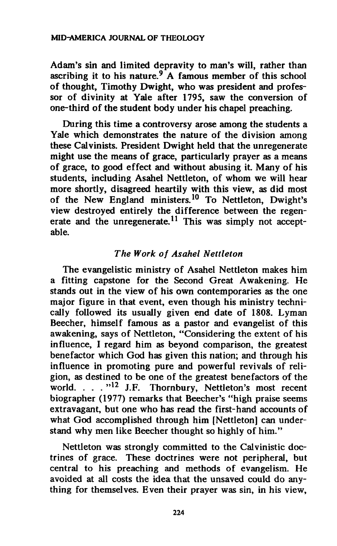**Adam's sin and limited depravity to man's will, rather than ascribing it to his nature.<sup>9</sup> A famous member of this school of thought, Timothy Dwight, who was president and professor of divinity at Yale after 1795, saw the conversion of one-third of the student body under his chapel preaching.** 

**During this time a controversy arose among the students a Yale which demonstrates the nature of the division among these Calvinists. President Dwight held that the unregenerate might use the means of grace, particularly prayer as a means of grace, to good effect and without abusing it. Many of his students, including Asahel Nettleton, of whom we will hear more shortly, disagreed heartily with this view, as did most of the New England ministers.<sup>10</sup> To Nettleton, Dwight's view destroyed entirely the difference between the regenerate and the unregenerate.<sup>11</sup> This was simply not acceptable.** 

# *The Work of Asahel Nettleton*

**The evangelistic ministry of Asahel Nettleton makes him a fitting capstone for the Second Great Awakening. He stands out in the view of his own contemporaries as the one major figure in that event, even though his ministry technically followed its usually given end date of 1808. Lyman Beecher, himself famous as a pastor and evangelist of this awakening, says of Nettleton, "Considering the extent of his influence, I regard him as beyond comparison, the greatest benefactor which God has given this nation; and through his influence in promoting pure and powerful revivals of religion, as destined to be one of the greatest benefactors of the world. . . . "<sup>12</sup> J.F. Thornbury, Nettleton's most recent biographer (1977) remarks that Beecher's "high praise seems extravagant, but one who has read the first-hand accounts of what God accomplished through him [Nettleton] can understand why men like Beecher thought so highly of him."** 

**Nettleton was strongly committed to the Calvinistic doctrines of grace. These doctrines were not peripheral, but central to his preaching and methods of evangelism. He avoided at all costs the idea that the unsaved could do anything for themselves. Even their prayer was sin, in his view,**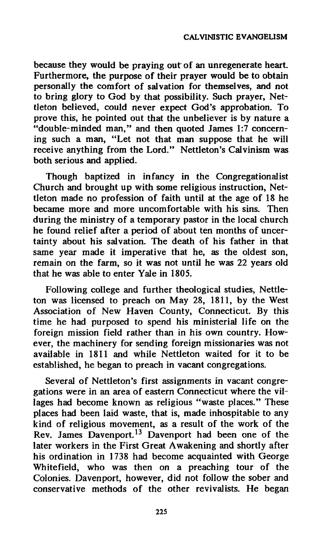### **CALVINISTIC EVANGELISM**

**because they would be praying out of an unregenerate heart. Furthermore, the purpose of their prayer would be to obtain personally the comfort of salvation for themselves, and not to bring glory to God by that possibility. Such prayer, Nettleton believed, could never expect God's approbation. To prove this, he pointed out that the unbeliever is by nature a "double-minded man," and then quoted James 1:7 concerning such a man, "Let not that man suppose that he will receive anything from the Lord." Nettleton's Calvinism was both serious and applied.** 

**Though baptized in infancy in the Congregationalist Church and brought up with some religious instruction, Nettleton made no profession of faith until at the age of 18 he became more and more uncomfortable with his sins. Then during the ministry of a temporary pastor in the local church he found relief after a period of about ten months of uncertainty about his salvation. The death of his father in that same year made it imperative that he, as the oldest son, remain on the farm, so it was not until he was 22 years old that he was able to enter Yale in 1805.** 

**Following college and further theological studies, Nettleton was licensed to preach on May 28, 1811, by the West Association of New Haven County, Connecticut. By this time he had purposed to spend his ministerial life on the foreign mission field rather than in his own country. However, the machinery for sending foreign missionaries was not available in 1811 and while Nettleton waited for it to be established, he began to preach in vacant congregations.** 

**Several of Nettleton's first assignments in vacant congregations were in an area of eastern Connecticut where the villages had become known as religious "waste places." These places had been laid waste, that is, made inhospitable to any kind of religious movement, as a result of the work of the Rev. James Davenport.<sup>13</sup> Davenport had been one of the later workers in the First Great Awakening and shortly after his ordination in 1738 had become acquainted with George Whitefield, who was then on a preaching tour of the Colonies. Davenport, however, did not follow the sober and conservative methods of the other revivalists. He began**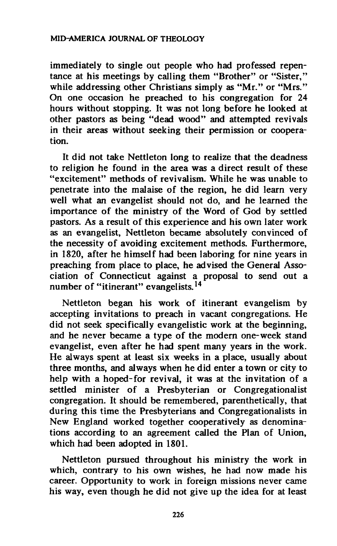### **MID-AMERICA JOURNAL OF THEOLOGY**

**immediately to single out people who had professed repentance at his meetings by calling them "Brother" or "Sister," while addressing other Christians simply as "Mr." or "Mrs." On one occasion he preached to his congregation for 24 hours without stopping. It was not long before he looked at other pastors as being "dead wood" and attempted revivals in their areas without seeking their permission or cooperation.** 

**It did not take Nettleton long to realize that the deadness to religion he found in the area was a direct result of these "excitement" methods of revivalism. While he was unable to penetrate into the malaise of the region, he did learn very well what an evangelist should not do, and he learned the importance of the ministry of the Word of God by settled pastors. As a result of this experience and his own later work as an evangelist, Nettleton became absolutely convinced of the necessity of avoiding excitement methods. Furthermore, in 1820, after he himself had been laboring for nine years in preaching from place to place, he advised the General Association of Connecticut against a proposal to send out a number of "itinerant" evangelists.<sup>14</sup>**

**Nettleton began his work of itinerant evangelism by accepting invitations to preach in vacant congregations. He did not seek specifically evangelistic work at the beginning, and he never became a type of the modern one-week stand evangelist, even after he had spent many years in the work. He always spent at least six weeks in a place, usually about three months, and always when he did enter a town or city to help with a hoped-for revival, it was at the invitation of a settled minister of a Presbyterian or Congregationalist congregation. It should be remembered, parenthetically, that during this time the Presbyterians and Congregationalists in New England worked together cooperatively as denominations according to an agreement called the Plan of Union, which had been adopted in 1801.** 

**Nettleton pursued throughout his ministry the work in which, contrary to his own wishes, he had now made his career. Opportunity to work in foreign missions never came his way, even though he did not give up the idea for at least**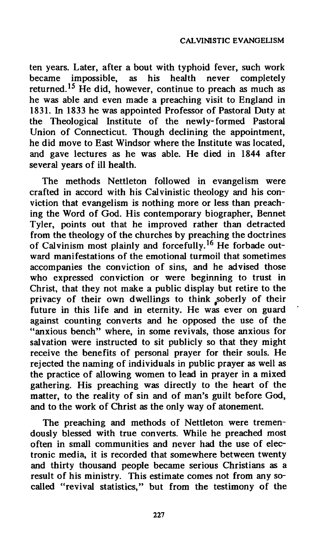**ten years. Later, after a bout with typhoid fever, such work**  health never completely **returned.<sup>15</sup> He did, however, continue to preach as much as he was able and even made a preaching visit to England in 1831. In 1833 he was appointed Professor of Pastoral Duty at the Theological Institute of the newly-formed Pastoral Union of Connecticut. Though declining the appointment, he did move to East Windsor where the Institute was located, and gave lectures as he was able. He died in 1844 after several years of ill health.** 

**The methods Nettleton followed in evangelism were crafted in accord with his Calvinistic theology and his conviction that evangelism is nothing more or less than preaching the Word of God. His contemporary biographer, Bennet Tyler, points out that he improved rather than detracted from the theology of the churches by preaching the doctrines**  of Calvinism most plainly and forcefully.<sup>16</sup> He forbade out**ward manifestations of the emotional turmoil that sometimes accompanies the conviction of sins, and he advised those who expressed conviction or were beginning to trust in Christ, that they not make a public display but retire to the privacy of their own dwellings to think <sup>f</sup>soberly of their future in this life and in eternity. He was ever on guard against counting converts and he opposed the use of the "anxious bench" where, in some revivals, those anxious for salvation were instructed to sit publicly so that they might receive the benefits of personal prayer for their souls. He rejected the naming of individuals in public prayer as well as the practice of allowing women to lead in prayer in a mixed gathering. His preaching was directly to the heart of the matter, to the reality of sin and of man's guilt before God, and to the work of Christ as the only way of atonement.** 

**The preaching and methods of Nettleton were tremendously blessed with true converts. While he preached most often in small communities and never had the use of electronic media, it is recorded that somewhere between twenty and thirty thousand people became serious Christians as a result of his ministry. This estimate comes not from any socalled "revival statistics," but from the testimony of the**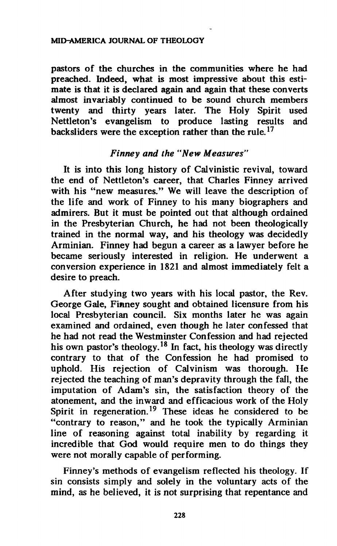**pastors of the churches in the communities where he had preached. Indeed, what is most impressive about this estimate is that it is declared again and again that these converts almost invariably continued to be sound church members twenty and thirty years later. The Holy Spirit used Nettleton's evangelism to produce lasting results and backsliders were the exception rather than the rule.<sup>17</sup>**

# *Finney and the "New Measures"*

**It is into this long history of Calvinistic revival, toward the end of Nettleton's career, that Charles Finney arrived with his "new measures." We will leave the description of the life and work of Finney to his many biographers and admirers. But it must be pointed out that although ordained in the Presbyterian Church, he had not been theologically trained in the normal way, and his theology was decidedly Arminian. Finney had begun a career as a lawyer before he became seriously interested in religion. He underwent a conversion experience in 1821 and almost immediately felt a desire to preach.** 

**After studying two years with his local pastor, the Rev. George Gale, Finney sought and obtained licensure from his local Presbyterian council. Six months later he was again examined and ordained, even though he later confessed that he had not read the Westminster Confession and had rejected his own pastor's theology.<sup>18</sup> In fact, his theology was directly contrary to that of the Confession he had promised to uphold. His rejection of Calvinism was thorough. He rejected the teaching of man's depravity through the fall, the imputation of Adam's sin, the satisfaction theory of the atonement, and the inward and efficacious work of the Holy Spirit in regeneration.<sup>19</sup> These ideas he considered to be "contrary to reason," and he took the typically Arminian line of reasoning against total inability by regarding it incredible that God would require men to do things they were not morally capable of performing.** 

**Finney's methods of evangelism reflected his theology. If sin consists simply and solely in the voluntary acts of the mind, as he believed, it is not surprising that repentance and**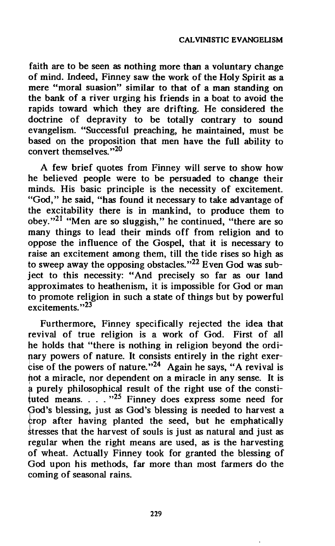**faith are to be seen as nothing more than a voluntary change of mind. Indeed, Finney saw the work of the Holy Spirit as a mere "moral suasion" similar to that of a man standing on the bank of a river urging his friends in a boat to avoid the rapids toward which they are drifting. He considered the doctrine of depravity to be totally contrary to sound evangelism. "Successful preaching, he maintained, must be based on the proposition that men have the full ability to convert themselves."<sup>20</sup>**

**A few brief quotes from Finney will serve to show how he believed people were to be persuaded to change their minds. His basic principle is the necessity of excitement. "God," he said, "has found it necessary to take advantage of the excitability there is in mankind, to produce them to obey."<sup>21</sup> "Men are so sluggish," he continued, "there are so many things to lead their minds off from religion and to oppose the influence of the Gospel, that it is necessary to raise an excitement among them, till the tide rises so high as to sweep away the opposing obstacles."<sup>22</sup> Even God was subject to this necessity: "And precisely so far as our land approximates to heathenism, it is impossible for God or man to promote religion in such a state of things but by powerful excitements."<sup>23</sup>**

**Furthermore, Finney specifically rejected the idea that revival of true religion is a work of God. First of all he holds that "there is nothing in religion beyond the ordinary powers of nature. It consists entirely in the right exercise of the powers of nature."<sup>24</sup> Again he says, "A revival is hot a miracle, nor dependent on a miracle in any sense. It is a purely philosophical result of the right use of the constituted means. . . . "<sup>25</sup> Finney does express some need for God's blessing, just as God's blessing is needed to harvest a crop after having planted the seed, but he emphatically stresses that the harvest of souls is just as natural and just as regular when the right means are used, as is the harvesting of wheat. Actually Finney took for granted the blessing of God upon his methods, far more than most farmers do the coming of seasonal rains.**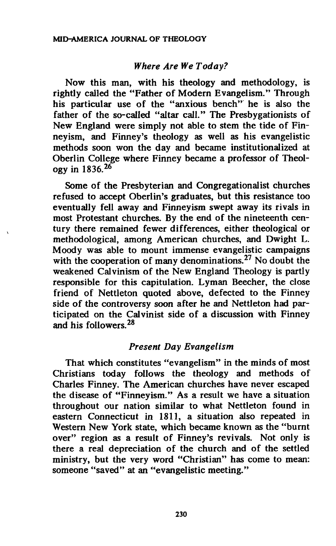### *Where Are We Today?*

**Now this man, with his theology and methodology, is rightly called the "Father of Modern Evangelism." Through his particular use of the "anxious bench" he is also the father of the so-called "altar call." The Presbygationists of New England were simply not able to stem the tide of Finneyism, and Finney's theology as well as his evangelistic methods soon won the day and became institutionalized at Oberlin College where Finney became a professor of Theology in 1836.<sup>26</sup>**

**Some of the Presbyterian and Congregationalist churches refused to accept Oberlin's graduates, but this resistance too eventually fell away and Finneyism swept away its rivals in most Protestant churches. By the end of the nineteenth century there remained fewer differences, either theological or methodological, among American churches, and Dwight L. Moody was able to mount immense evangelistic campaigns with the cooperation of many denominations.<sup>27</sup> No doubt the weakened Calvinism of the New England Theology is partly responsible for this capitulation. Lyman Beecher, the close friend of Nettleton quoted above, defected to the Finney side of the controversy soon after he and Nettleton had participated on the Calvinist side of a discussion with Finney and his followers.<sup>28</sup>**

### *Present Day Evangelism*

**That which constitutes "evangelism" in the minds of most Christians today follows the theology and methods of Charles Finney. The American churches have never escaped the disease of "Finneyism." As a result we have a situation throughout our nation similar to what Nettleton found in eastern Connecticut in 1811, a situation also repeated in Western New York state, which became known as the "burnt over" region as a result of Finney's revivals. Not only is there a real depreciation of the church and of the settled ministry, but the very word "Christian" has come to mean: someone "saved" at an "evangelistic meeting."**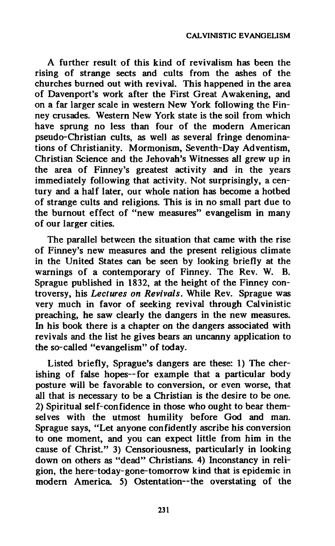**A further result of this kind of revivalism has been the rising of strange sects and cults from the ashes of the churches burned out with revival. This happened in the area of Davenport's work after the First Great Awakening, and on a far larger scale in western New York following the Finney crusades. Western New York state is the soil from which have sprung no less than four of the modern American pseudo-Christian cults, as well as several fringe denominations of Christianity. Mormonism, Seventh-Day Adventism, Christian Science and the Jehovah's Witnesses all grew up in the area of Finney's greatest activity and in the years immediately following that activity. Not surprisingly, a century and a half later, our whole nation has become a hotbed of strange cults and religions. This is in no small part due to the burnout effect of "new measures" evangelism in many of our larger cities.** 

**The parallel between the situation that came with the rise of Finney's new measures and the present religious climate in the United States can be seen by looking briefly at the warnings of a contemporary of Finney. The Rev. W. B. Sprague published in 1832, at the height of the Finney controversy, his** *Lectures on Revivals.* **While Rev. Sprague was very much in favor of seeking revival through Calvinistic preaching, he saw clearly the dangers in the new measures. In his book there is a chapter on the dangers associated with revivals and the list he gives bears an uncanny application to the so-called "evangelism" of today.** 

**Listed briefly, Sprague's dangers are these: 1) The cherishing of false hopes—for example that a particular body posture will be favorable to conversion, or even worse, that all that is necessary to be a Christian is the desire** *to* **be one. 2) Spiritual self-confidence in those who ought to bear themselves with the utmost humility before God and man. Sprague says, "Let anyone confidently ascribe his conversion to one moment, and you can expect little from him in the cause of Christ." 3) Censoriousness, particularly in looking down on others as "dead" Christians. 4) Inconstancy in religion, the here-today-gone-tomorrow kind that is epidemic in**  modern America. 5) Ostentation--the overstating of the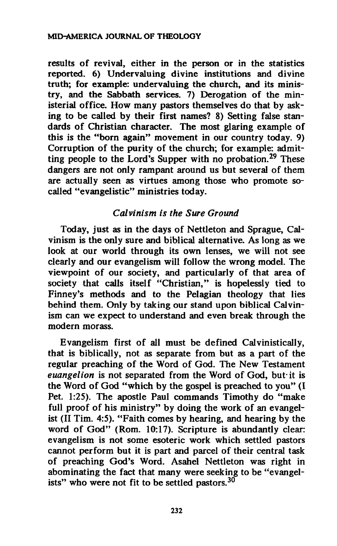**results of revival, either in the person or in the statistics reported. 6) Undervaluing divine institutions and divine truth; for example: undervaluing the church, and its ministry, and the Sabbath services. 7) Derogation of the ministerial office. How many pastors themselves do that by asking to be called by their first names? 8) Setting false standards of Christian character. The most glaring example of this is the "born again" movement in our country today. 9) Corruption of the purity of the church; for example: admitting people to the Lord's Supper with no probation.<sup>29</sup> These dangers are not only rampant around us but several of them are actually seen as virtues among those who promote socalled "evangelistic" ministries today.** 

# *Calvinism is the Sure Ground*

**Today, just as in the days of Nettleton and Sprague, Calvinism is the only sure and biblical alternative. As long as we look at our world through its own lenses, we will not see clearly and our evangelism will follow the wrong model. The viewpoint of our society, and particularly of that area of society that calls itself "Christian," is hopelessly tied to Finney's methods and to the Pelagian theology that lies behind them. Only by taking our stand upon biblical Calvinism can we expect to understand and even break through the modern morass.** 

**Evangelism first of all must be defined Calvinistically, that is biblically, not as separate from but as a part of the regular preaching of the Word of God. The New Testament**  *euangelion* **is not separated from the Word of God, but· it is the Word of God "which by the gospel is preached to you" (I Pet. 1:25). The apostle Paul commands Timothy do "make full proof of his ministry" by doing the work of an evangelist (II Tim. 4:5). "Faith comes by hearing, and hearing by the word of God" (Rom. 10:17). Scripture is abundantly clear: evangelism is not some esoteric work which settled pastors cannot perform but it is part and parcel of their central task of preaching God's Word. Asahel Nettleton was right in abominating the fact that many were seeking to be "evangelists" who were not fit to be settled pastors.<sup>30</sup>**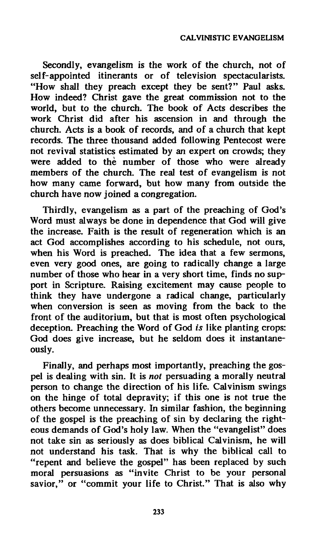#### **CALVINISTIC EVANGELISM**

**Secondly, evangelism is the work of the church, not of self-appointed itinerants or of television spectacularists. "How shall they preach except they be sent?" Paul asks. How indeed? Christ gave the great commission not to the world, but to the church. The book of Acts describes the work Christ did after his ascension in and through the church. Acts is a book of records, and of a church that kept records. The three thousand added following Pentecost were not revival statistics estimated by an expert on crowds; they were added to thè number of those who were already members of the church. The real test of evangelism is not how many came forward, but how many from outside the church have now joined a congregation.** 

**Thirdly, evangelism as a part of the preaching of God's Word must always be done in dependence that God will give the increase. Faith is the result of regeneration which is an act God accomplishes according to his schedule, not ours, when his Word is preached. The idea that a few sermons, even very good ones, are going to radically change a large number of those who hear in a very short time, finds no support in Scripture. Raising excitement may cause people to think they have undergone a radical change, particularly when conversion is seen as moving from the back to the front of the auditorium, but that is most often psychological deception. Preaching the Word of God** *is* **like planting crops: God does give increase, but he seldom does it instantaneously.** 

**Finally, and perhaps most importantly, preaching the gospel is dealing with sin. It is** *not* **persuading a morally neutral person to change the direction of his life. Calvinism swings on the hinge of total depravity; if this one is not true the others become unnecessary. In similar fashion, the beginning of the gospel is the preaching of sin by declaring the righteous demands of God's holy law. When the "evangelist" does not take sin as seriously as does biblical Calvinism, he will not understand his task. That is why the biblical call to "repent and believe the gospel" has been replaced by such moral persuasions as "invite Christ to be your personal savior," or "commit your life to Christ." That is also why**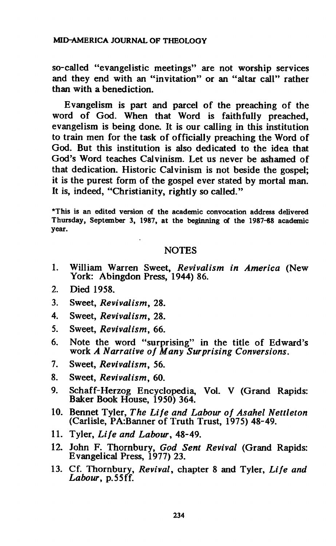**so-called "evangelistic meetings" are not worship services and they end with an "invitation" or an "altar call" rather than with a benediction.** 

**Evangelism is part and parcel of the preaching of the word of God. When that Word is faithfully preached, evangelism is being done. It is our calling in this institution to train men for the task of officially preaching the Word of God. But this institution is also dedicated to the idea that God's Word teaches Calvinism. Let us never be ashamed of that dedication. Historic Calvinism is not beside the gospel; it is the purest form of the gospel ever stated by mortal man. It is, indeed, "Christianity, rightly so called."** 

**This is an edited version of the academic convocation address delivered Thursday, September 3, 1987, at the beginning of the 1987-68 academic year.** 

### **NOTES**

- **1. William Warren Sweet,** *Revivalism in America* **(New York: Abingdon Press, 1944) 86.**
- **2. Died 1958.**
- **3. Sweet,** *Revivalism,* **28.**
- **4. Sweet,** *Revivalism,* **28.**
- **5. Sweet,** *Revivalism,* **66.**
- **6. Note the word "surprising" in the title of Edward's work** *A Narrative of Many Surprising Conversions.*
- **7. Sweet,** *Revivalism,* **56.**
- **8. Sweet,** *Revivalism,* **60.**
- **9. Schaff-Herzog Encyclopedia, Vol. V (Grand Rapids: Baker Book House, 1950) 364.**
- **10. Bennet Tyler,** *The Life and Labour of Asahel Nettleton*  **(Carlisle, PA:Banner of Truth Trust, 1975) 48-49.**
- **11. Tyler,** *Life and Labour,* **48-49.**
- **12. John F. Thornbury,** *God Sent Revival* **(Grand Rapids: Evangelical Press, 1977) 23.**
- **13. Cf. Thornbury,** *Revival,* **chapter 8 and Tyler,** *Life and Labour,* **p.55ff.**